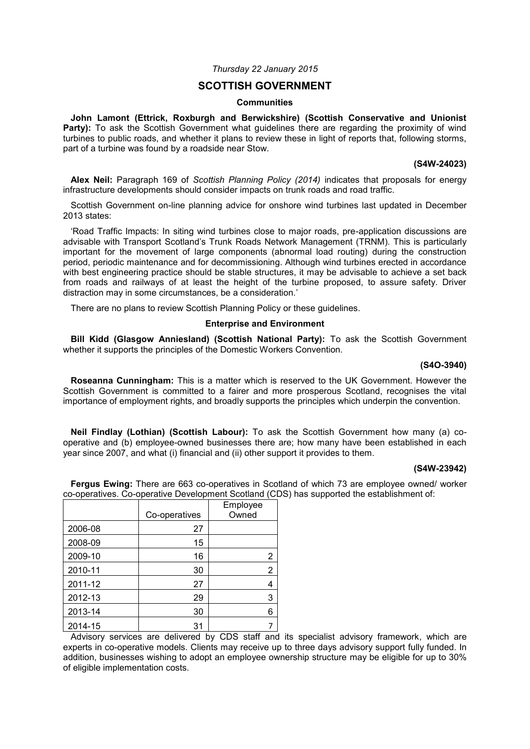# *Thursday 22 January 2015*

# **SCOTTISH GOVERNMENT**

### **Communities**

**John Lamont (Ettrick, Roxburgh and Berwickshire) (Scottish Conservative and Unionist**  Party): To ask the Scottish Government what guidelines there are regarding the proximity of wind turbines to public roads, and whether it plans to review these in light of reports that, following storms, part of a turbine was found by a roadside near Stow.

## **(S4W-24023)**

**Alex Neil:** Paragraph 169 of *Scottish Planning Policy (2014)* indicates that proposals for energy infrastructure developments should consider impacts on trunk roads and road traffic.

Scottish Government on-line planning advice for onshore wind turbines last updated in December 2013 states:

'Road Traffic Impacts: In siting wind turbines close to major roads, pre-application discussions are advisable with Transport Scotland's Trunk Roads Network Management (TRNM). This is particularly important for the movement of large components (abnormal load routing) during the construction period, periodic maintenance and for decommissioning. Although wind turbines erected in accordance with best engineering practice should be stable structures, it may be advisable to achieve a set back from roads and railways of at least the height of the turbine proposed, to assure safety. Driver distraction may in some circumstances, be a consideration.'

There are no plans to review Scottish Planning Policy or these guidelines.

#### **Enterprise and Environment**

**Bill Kidd (Glasgow Anniesland) (Scottish National Party):** To ask the Scottish Government whether it supports the principles of the Domestic Workers Convention.

# **(S4O-3940)**

**Roseanna Cunningham:** This is a matter which is reserved to the UK Government. However the Scottish Government is committed to a fairer and more prosperous Scotland, recognises the vital importance of employment rights, and broadly supports the principles which underpin the convention.

**Neil Findlay (Lothian) (Scottish Labour):** To ask the Scottish Government how many (a) cooperative and (b) employee-owned businesses there are; how many have been established in each year since 2007, and what (i) financial and (ii) other support it provides to them.

#### **(S4W-23942)**

**Fergus Ewing:** There are 663 co-operatives in Scotland of which 73 are employee owned/ worker co-operatives. Co-operative Development Scotland (CDS) has supported the establishment of:

|         |               | Employee       |
|---------|---------------|----------------|
|         | Co-operatives | Owned          |
| 2006-08 | 27            |                |
| 2008-09 | 15            |                |
| 2009-10 | 16            | 2              |
| 2010-11 | 30            | $\overline{2}$ |
| 2011-12 | 27            | 4              |
| 2012-13 | 29            | 3              |
| 2013-14 | 30            | 6              |
| 2014-15 | 31            |                |

Advisory services are delivered by CDS staff and its specialist advisory framework, which are experts in co-operative models. Clients may receive up to three days advisory support fully funded. In addition, businesses wishing to adopt an employee ownership structure may be eligible for up to 30% of eligible implementation costs.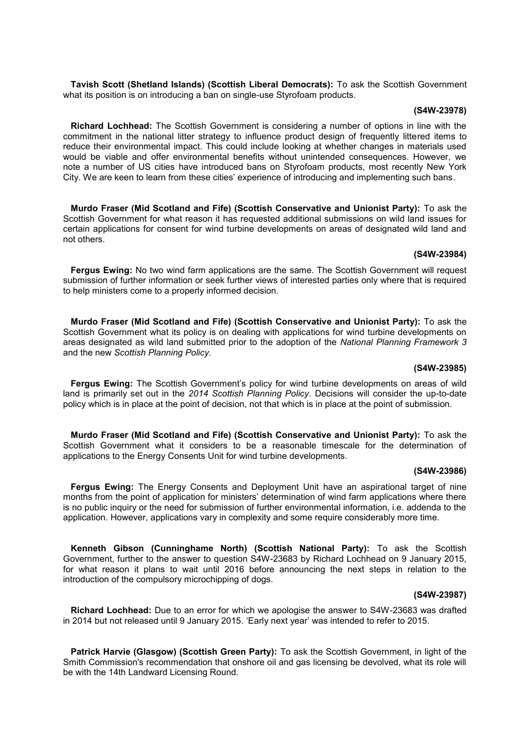**Tavish Scott (Shetland Islands) (Scottish Liberal Democrats):** To ask the Scottish Government what its position is on introducing a ban on single-use Styrofoam products.

### **(S4W-23978)**

**Richard Lochhead:** The Scottish Government is considering a number of options in line with the commitment in the national litter strategy to influence product design of frequently littered items to reduce their environmental impact. This could include looking at whether changes in materials used would be viable and offer environmental benefits without unintended consequences. However, we note a number of US cities have introduced bans on Styrofoam products, most recently New York City. We are keen to learn from these cities' experience of introducing and implementing such bans.

**Murdo Fraser (Mid Scotland and Fife) (Scottish Conservative and Unionist Party):** To ask the Scottish Government for what reason it has requested additional submissions on wild land issues for certain applications for consent for wind turbine developments on areas of designated wild land and not others.

#### **(S4W-23984)**

**Fergus Ewing:** No two wind farm applications are the same. The Scottish Government will request submission of further information or seek further views of interested parties only where that is required to help ministers come to a properly informed decision.

**Murdo Fraser (Mid Scotland and Fife) (Scottish Conservative and Unionist Party):** To ask the Scottish Government what its policy is on dealing with applications for wind turbine developments on areas designated as wild land submitted prior to the adoption of the *National Planning Framework 3* and the new *Scottish Planning Policy.*

### **(S4W-23985)**

Fergus Ewing: The Scottish Government's policy for wind turbine developments on areas of wild land is primarily set out in the *2014 Scottish Planning Policy*. Decisions will consider the up-to-date policy which is in place at the point of decision, not that which is in place at the point of submission.

**Murdo Fraser (Mid Scotland and Fife) (Scottish Conservative and Unionist Party):** To ask the Scottish Government what it considers to be a reasonable timescale for the determination of applications to the Energy Consents Unit for wind turbine developments.

#### **(S4W-23986)**

**Fergus Ewing:** The Energy Consents and Deployment Unit have an aspirational target of nine months from the point of application for ministers' determination of wind farm applications where there is no public inquiry or the need for submission of further environmental information, i.e. addenda to the application. However, applications vary in complexity and some require considerably more time.

**Kenneth Gibson (Cunninghame North) (Scottish National Party):** To ask the Scottish Government, further to the answer to question S4W-23683 by Richard Lochhead on 9 January 2015, for what reason it plans to wait until 2016 before announcing the next steps in relation to the introduction of the compulsory microchipping of dogs.

#### **(S4W-23987)**

**Richard Lochhead:** Due to an error for which we apologise the answer to S4W-23683 was drafted in 2014 but not released until 9 January 2015. 'Early next year' was intended to refer to 2015.

**Patrick Harvie (Glasgow) (Scottish Green Party):** To ask the Scottish Government, in light of the Smith Commission's recommendation that onshore oil and gas licensing be devolved, what its role will be with the 14th Landward Licensing Round.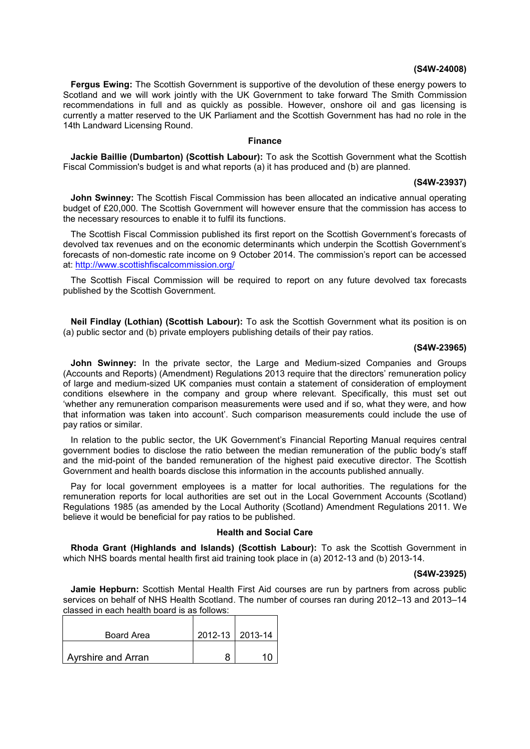### **(S4W-24008)**

**Fergus Ewing:** The Scottish Government is supportive of the devolution of these energy powers to Scotland and we will work jointly with the UK Government to take forward The Smith Commission recommendations in full and as quickly as possible. However, onshore oil and gas licensing is currently a matter reserved to the UK Parliament and the Scottish Government has had no role in the 14th Landward Licensing Round.

# **Finance**

**Jackie Baillie (Dumbarton) (Scottish Labour):** To ask the Scottish Government what the Scottish Fiscal Commission's budget is and what reports (a) it has produced and (b) are planned.

#### **(S4W-23937)**

**John Swinney:** The Scottish Fiscal Commission has been allocated an indicative annual operating budget of £20,000. The Scottish Government will however ensure that the commission has access to the necessary resources to enable it to fulfil its functions.

The Scottish Fiscal Commission published its first report on the Scottish Government's forecasts of devolved tax revenues and on the economic determinants which underpin the Scottish Government's forecasts of non-domestic rate income on 9 October 2014. The commission's report can be accessed at: <http://www.scottishfiscalcommission.org/>

The Scottish Fiscal Commission will be required to report on any future devolved tax forecasts published by the Scottish Government.

**Neil Findlay (Lothian) (Scottish Labour):** To ask the Scottish Government what its position is on (a) public sector and (b) private employers publishing details of their pay ratios.

### **(S4W-23965)**

**John Swinney:** In the private sector, the Large and Medium-sized Companies and Groups (Accounts and Reports) (Amendment) Regulations 2013 require that the directors' remuneration policy of large and medium-sized UK companies must contain a statement of consideration of employment conditions elsewhere in the company and group where relevant. Specifically, this must set out 'whether any remuneration comparison measurements were used and if so, what they were, and how that information was taken into account'. Such comparison measurements could include the use of pay ratios or similar.

In relation to the public sector, the UK Government's Financial Reporting Manual requires central government bodies to disclose the ratio between the median remuneration of the public body's staff and the mid-point of the banded remuneration of the highest paid executive director. The Scottish Government and health boards disclose this information in the accounts published annually.

Pay for local government employees is a matter for local authorities. The regulations for the remuneration reports for local authorities are set out in the Local Government Accounts (Scotland) Regulations 1985 (as amended by the Local Authority (Scotland) Amendment Regulations 2011. We believe it would be beneficial for pay ratios to be published.

# **Health and Social Care**

**Rhoda Grant (Highlands and Islands) (Scottish Labour):** To ask the Scottish Government in which NHS boards mental health first aid training took place in (a) 2012-13 and (b) 2013-14.

#### **(S4W-23925)**

**Jamie Hepburn:** Scottish Mental Health First Aid courses are run by partners from across public services on behalf of NHS Health Scotland. The number of courses ran during 2012–13 and 2013–14 classed in each health board is as follows:

| Board Area                | 2012-13   2013-14 |
|---------------------------|-------------------|
| <b>Ayrshire and Arran</b> |                   |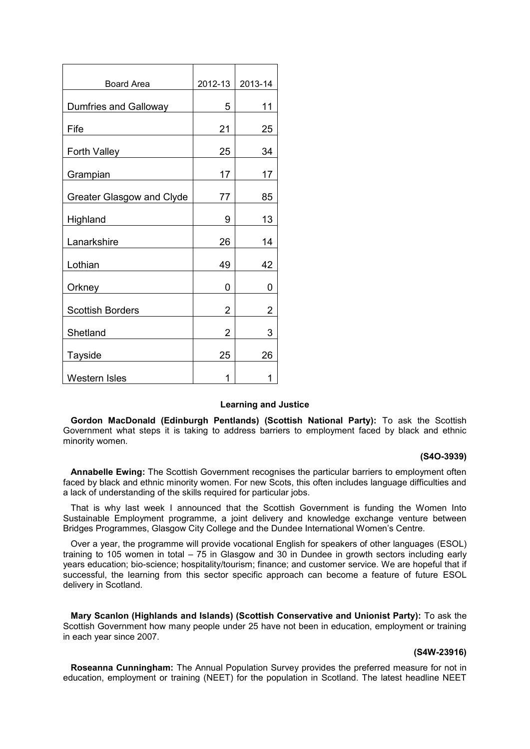| Board Area                | 2012-13        | 2013-14 |
|---------------------------|----------------|---------|
| Dumfries and Galloway     | 5              | 11      |
| Fife                      | 21             | 25      |
| Forth Valley              | 25             | 34      |
| Grampian                  | 17             | 17      |
| Greater Glasgow and Clyde | 77             | 85      |
| Highland                  | 9              | 13      |
| Lanarkshire               | 26             | 14      |
| Lothian                   | 49             | 42      |
| Orkney                    | 0              | 0       |
| <b>Scottish Borders</b>   | $\overline{2}$ | 2       |
| Shetland                  | $\overline{2}$ | 3       |
| <b>Tayside</b>            | 25             | 26      |
| <b>Western Isles</b>      | 1              | 1       |

# **Learning and Justice**

**Gordon MacDonald (Edinburgh Pentlands) (Scottish National Party):** To ask the Scottish Government what steps it is taking to address barriers to employment faced by black and ethnic minority women.

# **(S4O-3939)**

**Annabelle Ewing:** The Scottish Government recognises the particular barriers to employment often faced by black and ethnic minority women. For new Scots, this often includes language difficulties and a lack of understanding of the skills required for particular jobs.

That is why last week I announced that the Scottish Government is funding the Women Into Sustainable Employment programme, a joint delivery and knowledge exchange venture between Bridges Programmes, Glasgow City College and the Dundee International Women's Centre.

Over a year, the programme will provide vocational English for speakers of other languages (ESOL) training to 105 women in total – 75 in Glasgow and 30 in Dundee in growth sectors including early years education; bio-science; hospitality/tourism; finance; and customer service. We are hopeful that if successful, the learning from this sector specific approach can become a feature of future ESOL delivery in Scotland.

**Mary Scanlon (Highlands and Islands) (Scottish Conservative and Unionist Party):** To ask the Scottish Government how many people under 25 have not been in education, employment or training in each year since 2007.

#### **(S4W-23916)**

**Roseanna Cunningham:** The Annual Population Survey provides the preferred measure for not in education, employment or training (NEET) for the population in Scotland. The latest headline NEET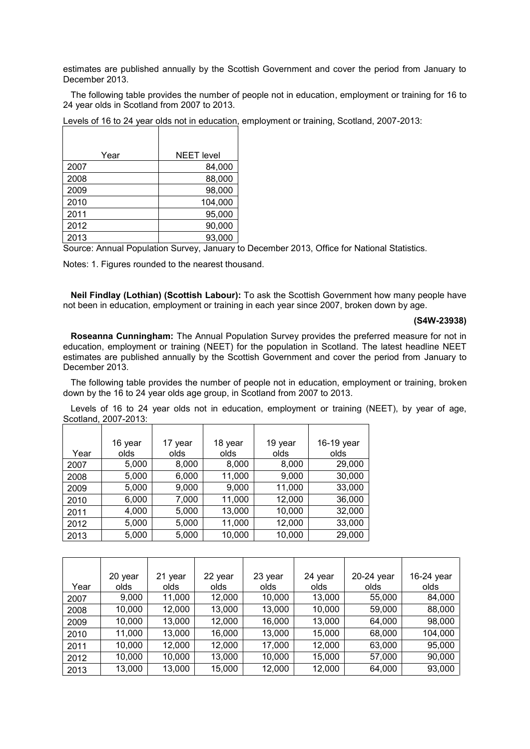estimates are published annually by the Scottish Government and cover the period from January to December 2013.

The following table provides the number of people not in education, employment or training for 16 to 24 year olds in Scotland from 2007 to 2013.

Levels of 16 to 24 year olds not in education, employment or training, Scotland, 2007-2013:

| Year | <b>NEET</b> level |
|------|-------------------|
| 2007 | 84,000            |
| 2008 | 88,000            |
| 2009 | 98,000            |
| 2010 | 104,000           |
| 2011 | 95,000            |
| 2012 | 90,000            |
| 2013 | 93,000            |

Source: Annual Population Survey, January to December 2013, Office for National Statistics.

Notes: 1. Figures rounded to the nearest thousand.

**Neil Findlay (Lothian) (Scottish Labour):** To ask the Scottish Government how many people have not been in education, employment or training in each year since 2007, broken down by age.

#### **(S4W-23938)**

**Roseanna Cunningham:** The Annual Population Survey provides the preferred measure for not in education, employment or training (NEET) for the population in Scotland. The latest headline NEET estimates are published annually by the Scottish Government and cover the period from January to December 2013.

The following table provides the number of people not in education, employment or training, broken down by the 16 to 24 year olds age group, in Scotland from 2007 to 2013.

Levels of 16 to 24 year olds not in education, employment or training (NEET), by year of age, Scotland, 2007-2013:

|      | 16 year | 17 year | 18 year | 19 year | 16-19 year |
|------|---------|---------|---------|---------|------------|
| Year | olds    | olds    | olds    | olds    | olds       |
| 2007 | 5,000   | 8,000   | 8,000   | 8,000   | 29,000     |
| 2008 | 5,000   | 6,000   | 11,000  | 9,000   | 30,000     |
| 2009 | 5,000   | 9,000   | 9,000   | 11,000  | 33,000     |
| 2010 | 6,000   | 7,000   | 11,000  | 12,000  | 36,000     |
| 2011 | 4,000   | 5,000   | 13,000  | 10,000  | 32,000     |
| 2012 | 5,000   | 5,000   | 11,000  | 12,000  | 33,000     |
| 2013 | 5,000   | 5,000   | 10,000  | 10,000  | 29,000     |

|      | 20 year | 21 year | 22 year | 23 year | 24 year | 20-24 year | 16-24 year |
|------|---------|---------|---------|---------|---------|------------|------------|
| Year | olds    | olds    | olds    | olds.   | olds    | olds       | olds       |
| 2007 | 9,000   | 11,000  | 12,000  | 10,000  | 13,000  | 55,000     | 84,000     |
| 2008 | 10,000  | 12,000  | 13,000  | 13,000  | 10,000  | 59,000     | 88,000     |
| 2009 | 10,000  | 13,000  | 12,000  | 16,000  | 13,000  | 64,000     | 98,000     |
| 2010 | 11,000  | 13,000  | 16,000  | 13,000  | 15,000  | 68,000     | 104,000    |
| 2011 | 10,000  | 12,000  | 12,000  | 17,000  | 12,000  | 63,000     | 95,000     |
| 2012 | 10,000  | 10,000  | 13,000  | 10,000  | 15,000  | 57,000     | 90,000     |
| 2013 | 13,000  | 13,000  | 15,000  | 12,000  | 12,000  | 64,000     | 93,000     |